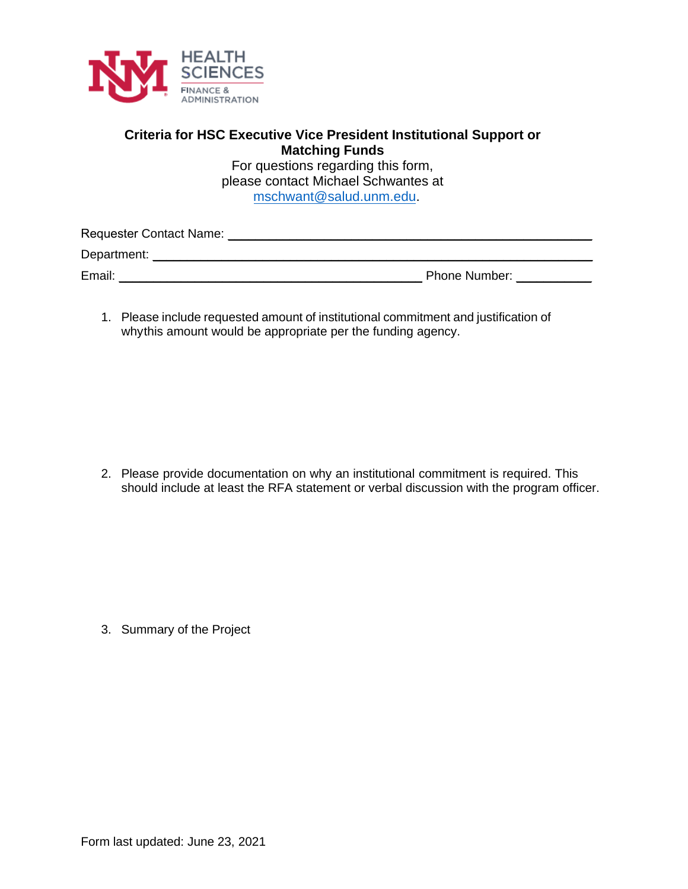

## **Criteria for HSC Executive Vice President Institutional Support or Matching Funds**

For questions regarding this form, please contact Michael Schwantes at mschwant@salud.unm.edu.

| Requester Contact Name: |                      |
|-------------------------|----------------------|
| Department:             |                      |
| Email:                  | <b>Phone Number:</b> |

1. Please include requested amount of institutional commitment and justification of whythis amount would be appropriate per the funding agency.

2. Please provide documentation on why an institutional commitment is required. This should include at least the RFA statement or verbal discussion with the program officer.

3. Summary of the Project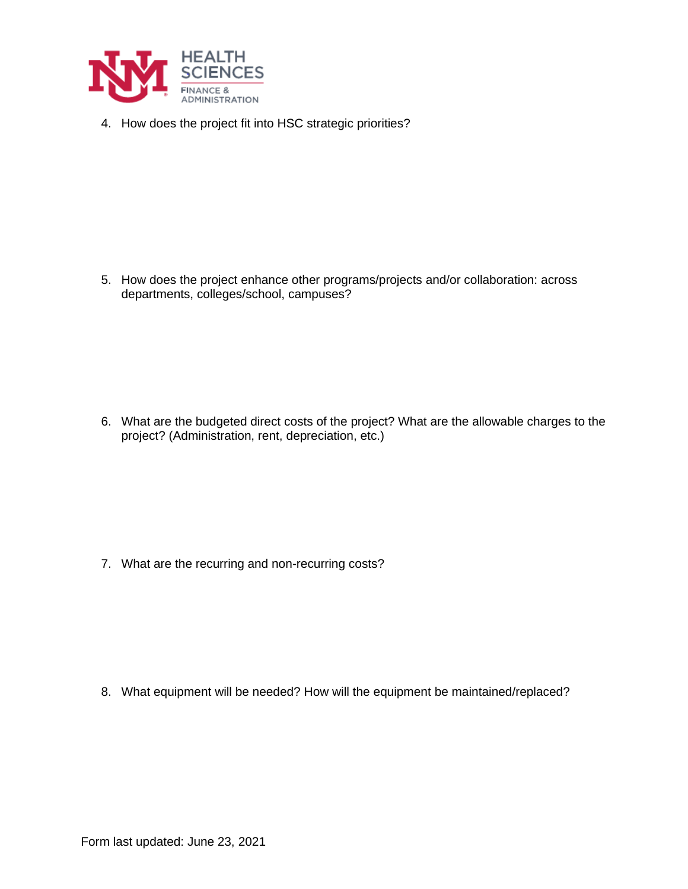

4. How does the project fit into HSC strategic priorities?

5. How does the project enhance other programs/projects and/or collaboration: across departments, colleges/school, campuses?

6. What are the budgeted direct costs of the project? What are the allowable charges to the project? (Administration, rent, depreciation, etc.)

7. What are the recurring and non-recurring costs?

8. What equipment will be needed? How will the equipment be maintained/replaced?